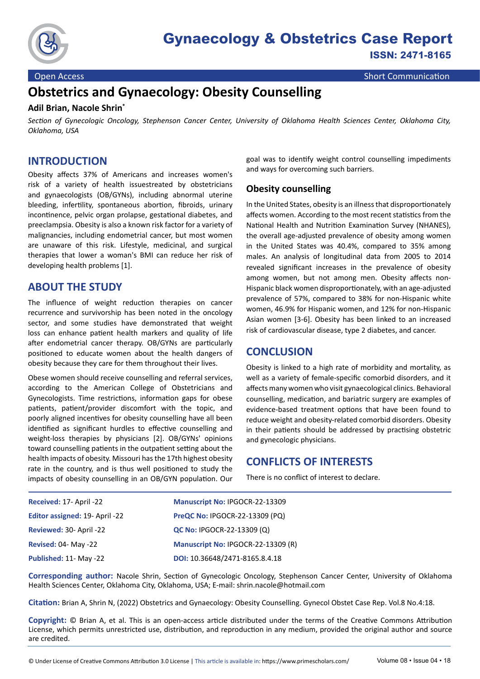

**Open Access** Short Communication

# **Obstetrics and Gynaecology: Obesity Counselling**

#### **Adil Brian, Nacole Shrin\***

*Section of Gynecologic Oncology, Stephenson Cancer Center, University of Oklahoma Health Sciences Center, Oklahoma City, Oklahoma, USA*

### **INTRODUCTION**

Obesity affects 37% of Americans and increases women's risk of a variety of health issuestreated by obstetricians and gynaecologists (OB/GYNs), including abnormal uterine bleeding, infertility, spontaneous abortion, fibroids, urinary incontinence, pelvic organ prolapse, gestational diabetes, and preeclampsia. Obesity is also a known risk factor for a variety of malignancies, including endometrial cancer, but most women are unaware of this risk. Lifestyle, medicinal, and surgical therapies that lower a woman's BMI can reduce her risk of developing health problems [1].

# **ABOUT THE STUDY**

The influence of weight reduction therapies on cancer recurrence and survivorship has been noted in the oncology sector, and some studies have demonstrated that weight loss can enhance patient health markers and quality of life after endometrial cancer therapy. OB/GYNs are particularly positioned to educate women about the health dangers of obesity because they care for them throughout their lives.

Obese women should receive counselling and referral services, according to the American College of Obstetricians and Gynecologists. Time restrictions, information gaps for obese patients, patient/provider discomfort with the topic, and poorly aligned incentives for obesity counselling have all been identified as significant hurdles to effective counselling and weight-loss therapies by physicians [2]. OB/GYNs' opinions toward counselling patients in the outpatient setting about the health impacts of obesity. Missouri has the 17th highest obesity rate in the country, and is thus well positioned to study the impacts of obesity counselling in an OB/GYN population. Our goal was to identify weight control counselling impediments and ways for overcoming such barriers.

#### **Obesity counselling**

In the United States, obesity is an illness that disproportionately affects women. According to the most recent statistics from the National Health and Nutrition Examination Survey (NHANES), the overall age-adjusted prevalence of obesity among women in the United States was 40.4%, compared to 35% among males. An analysis of longitudinal data from 2005 to 2014 revealed significant increases in the prevalence of obesity among women, but not among men. Obesity affects non-Hispanic black women disproportionately, with an age-adjusted prevalence of 57%, compared to 38% for non-Hispanic white women, 46.9% for Hispanic women, and 12% for non-Hispanic Asian women [3-6]. Obesity has been linked to an increased risk of cardiovascular disease, type 2 diabetes, and cancer.

# **CONCLUSION**

Obesity is linked to a high rate of morbidity and mortality, as well as a variety of female-specific comorbid disorders, and it affects many women who visit gynaecological clinics. Behavioral counselling, medication, and bariatric surgery are examples of evidence-based treatment options that have been found to reduce weight and obesity-related comorbid disorders. Obesity in their patients should be addressed by practising obstetric and gynecologic physicians.

# **CONFLICTS OF INTERESTS**

There is no conflict of interest to declare.

| Received: 17- April -22               | Manuscript No: IPGOCR-22-13309        |
|---------------------------------------|---------------------------------------|
| <b>Editor assigned: 19- April -22</b> | <b>PreQC No: IPGOCR-22-13309 (PQ)</b> |
| Reviewed: 30- April -22               | <b>QC No: IPGOCR-22-13309 (Q)</b>     |
| <b>Revised: 04- May -22</b>           | Manuscript No: IPGOCR-22-13309 (R)    |
| Published: 11- May -22                | DOI: 10.36648/2471-8165.8.4.18        |

**Corresponding author:** Nacole Shrin, Section of Gynecologic Oncology, Stephenson Cancer Center, University of Oklahoma Health Sciences Center, Oklahoma City, Oklahoma, USA; E-mail: [shrin.nacole@hotmail.com](mailto:shrin.nacole@hotmail.com )

**Citation:** Brian A, Shrin N, (2022) Obstetrics and Gynaecology: Obesity Counselling. Gynecol Obstet Case Rep. Vol.8 No.4:18.

**Copyright:** © Brian A, et al. This is an open-access article distributed under the terms of the Creative Commons Attribution License, which permits unrestricted use, distribution, and reproduction in any medium, provided the original author and source are credited.